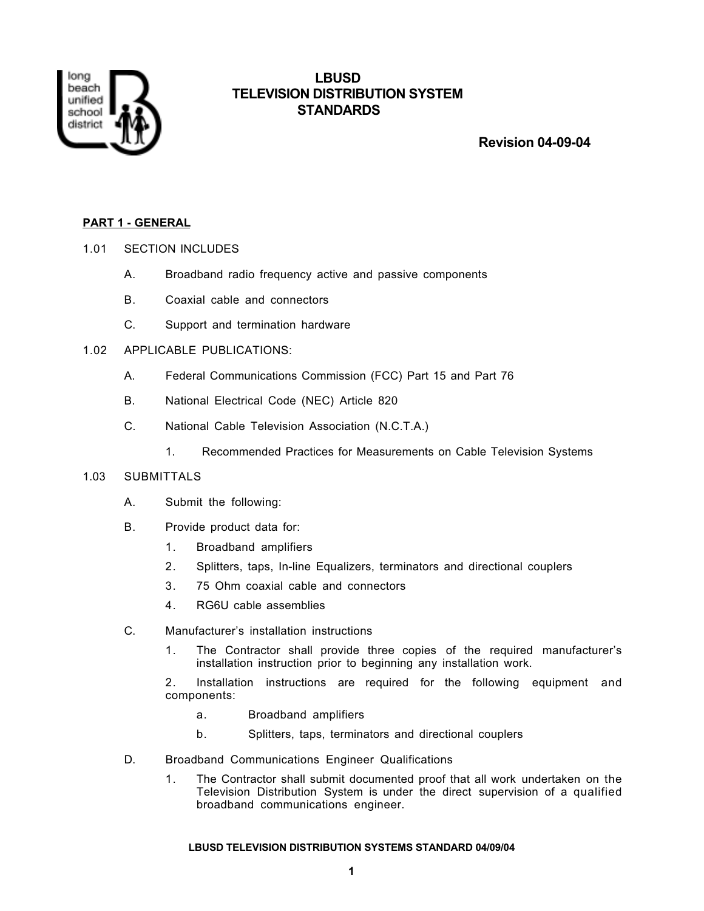

# **LBUSD TELEVISION DISTRIBUTION SYSTEM STANDARDS**

 **Revision 04-09-04**

# **PART 1 - GENERAL**

# 1.01 SECTION INCLUDES

- A. Broadband radio frequency active and passive components
- B. Coaxial cable and connectors
- C. Support and termination hardware

# 1.02 APPLICABLE PUBLICATIONS:

- A. Federal Communications Commission (FCC) Part 15 and Part 76
- B. National Electrical Code (NEC) Article 820
- C. National Cable Television Association (N.C.T.A.)
	- 1. Recommended Practices for Measurements on Cable Television Systems

# 1.03 SUBMITTALS

- A. Submit the following:
- B. Provide product data for:
	- 1. Broadband amplifiers
	- 2. Splitters, taps, In-line Equalizers, terminators and directional couplers
	- 3. 75 Ohm coaxial cable and connectors
	- 4. RG6U cable assemblies
- C. Manufacturer's installation instructions
	- 1. The Contractor shall provide three copies of the required manufacturer's installation instruction prior to beginning any installation work.
	- 2. Installation instructions are required for the following equipment and components:
		- a. Broadband amplifiers
		- b. Splitters, taps, terminators and directional couplers
- D. Broadband Communications Engineer Qualifications
	- 1. The Contractor shall submit documented proof that all work undertaken on the Television Distribution System is under the direct supervision of a qualified broadband communications engineer.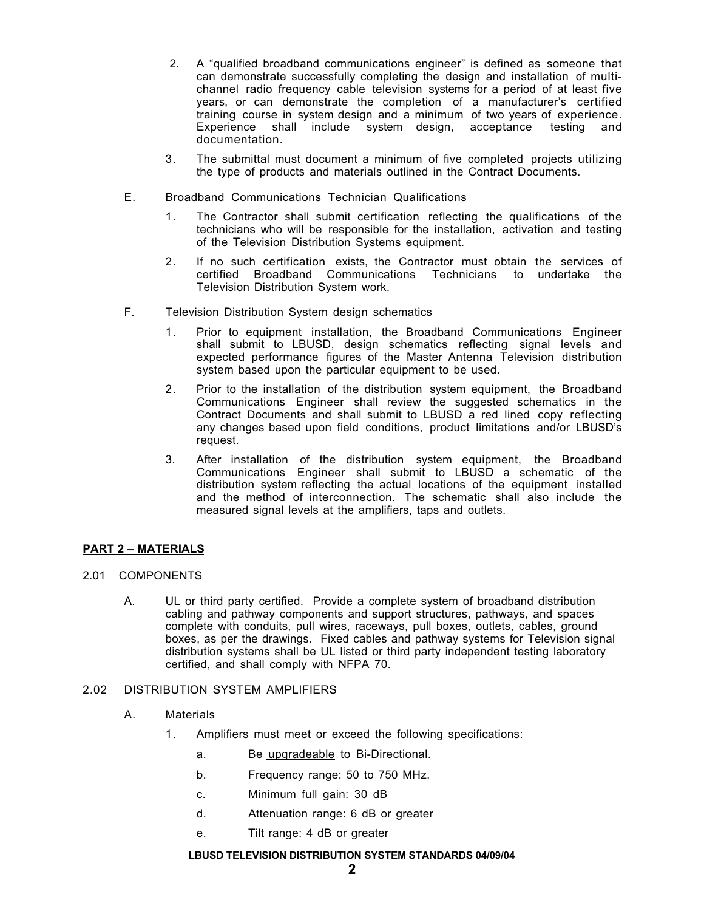- 2. A "qualified broadband communications engineer" is defined as someone that can demonstrate successfully completing the design and installation of multichannel radio frequency cable television systems for a period of at least five years, or can demonstrate the completion of a manufacturer's certified training course in system design and a minimum of two years of experience. Experience shall include system design, acceptance testing and documentation.
- 3. The submittal must document a minimum of five completed projects utilizing the type of products and materials outlined in the Contract Documents.
- E. Broadband Communications Technician Qualifications
	- 1. The Contractor shall submit certification reflecting the qualifications of the technicians who will be responsible for the installation, activation and testing of the Television Distribution Systems equipment.
	- 2. If no such certification exists, the Contractor must obtain the services of certified Broadband Communications Technicians to undertake the Television Distribution System work.
- F. Television Distribution System design schematics
	- 1. Prior to equipment installation, the Broadband Communications Engineer shall submit to LBUSD, design schematics reflecting signal levels and expected performance figures of the Master Antenna Television distribution system based upon the particular equipment to be used.
	- 2. Prior to the installation of the distribution system equipment, the Broadband Communications Engineer shall review the suggested schematics in the Contract Documents and shall submit to LBUSD a red lined copy reflecting any changes based upon field conditions, product limitations and/or LBUSD's request.
	- 3. After installation of the distribution system equipment, the Broadband Communications Engineer shall submit to LBUSD a schematic of the distribution system reflecting the actual locations of the equipment installed and the method of interconnection. The schematic shall also include the measured signal levels at the amplifiers, taps and outlets.

# **PART 2 – MATERIALS**

# 2.01 COMPONENTS

A. UL or third party certified. Provide a complete system of broadband distribution cabling and pathway components and support structures, pathways, and spaces complete with conduits, pull wires, raceways, pull boxes, outlets, cables, ground boxes, as per the drawings. Fixed cables and pathway systems for Television signal distribution systems shall be UL listed or third party independent testing laboratory certified, and shall comply with NFPA 70.

# 2.02 DISTRIBUTION SYSTEM AMPLIFIERS

- A. Materials
	- 1. Amplifiers must meet or exceed the following specifications:
		- a. Be upgradeable to Bi-Directional.
		- b. Frequency range: 50 to 750 MHz.
		- c. Minimum full gain: 30 dB
		- d. Attenuation range: 6 dB or greater
		- e. Tilt range: 4 dB or greater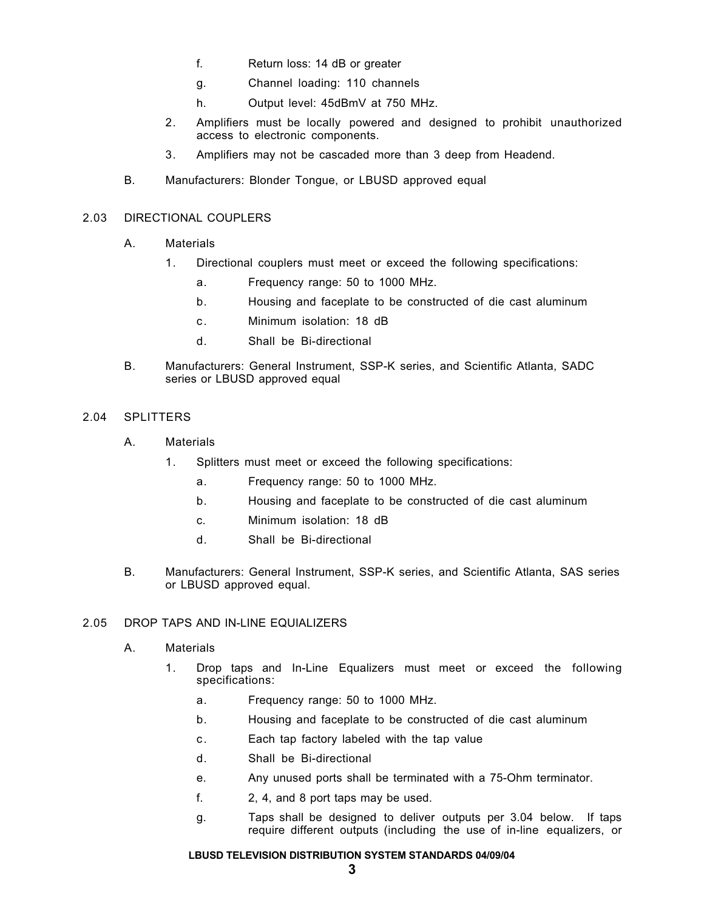- f. Return loss: 14 dB or greater
- g. Channel loading: 110 channels
- h. Output level: 45dBmV at 750 MHz.
- 2. Amplifiers must be locally powered and designed to prohibit unauthorized access to electronic components.
- 3. Amplifiers may not be cascaded more than 3 deep from Headend.
- B. Manufacturers: Blonder Tongue, or LBUSD approved equal

## 2.03 DIRECTIONAL COUPLERS

- A. Materials
	- 1. Directional couplers must meet or exceed the following specifications:
		- a. Frequency range: 50 to 1000 MHz.
		- b. Housing and faceplate to be constructed of die cast aluminum
		- c. Minimum isolation: 18 dB
		- d. Shall be Bi-directional
- B. Manufacturers: General Instrument, SSP-K series, and Scientific Atlanta, SADC series or LBUSD approved equal

# 2.04 SPLITTERS

- A. Materials
	- 1. Splitters must meet or exceed the following specifications:
		- a. Frequency range: 50 to 1000 MHz.
		- b. Housing and faceplate to be constructed of die cast aluminum
		- c. Minimum isolation: 18 dB
		- d. Shall be Bi-directional
- B. Manufacturers: General Instrument, SSP-K series, and Scientific Atlanta, SAS series or LBUSD approved equal.

## 2.05 DROP TAPS AND IN-LINE EQUIALIZERS

- A. Materials
	- 1. Drop taps and In-Line Equalizers must meet or exceed the following specifications:
		- a. Frequency range: 50 to 1000 MHz.
		- b. Housing and faceplate to be constructed of die cast aluminum
		- c. Each tap factory labeled with the tap value
		- d. Shall be Bi-directional
		- e. Any unused ports shall be terminated with a 75-Ohm terminator.
		- f. 2, 4, and 8 port taps may be used.
		- g. Taps shall be designed to deliver outputs per 3.04 below. If taps require different outputs (including the use of in-line equalizers, or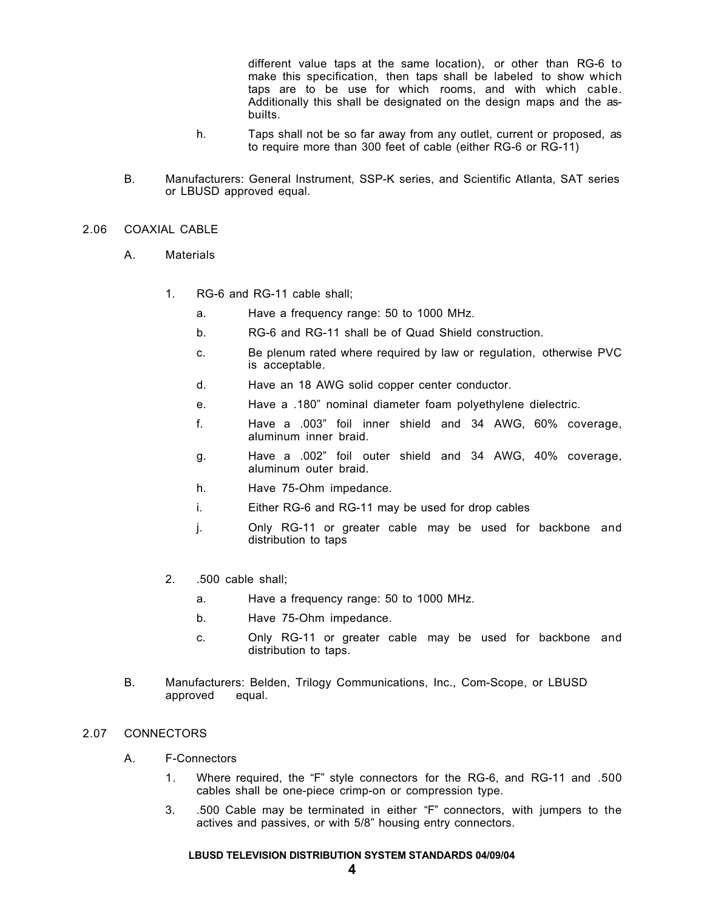different value taps at the same location), or other than RG-6 to make this specification, then taps shall be labeled to show which taps are to be use for which rooms, and with which cable. Additionally this shall be designated on the design maps and the asbuilts.

- h. Taps shall not be so far away from any outlet, current or proposed, as to require more than 300 feet of cable (either RG-6 or RG-11)
- B. Manufacturers: General Instrument, SSP-K series, and Scientific Atlanta, SAT series or LBUSD approved equal.

#### 2.06 COAXIAL CABLE

- A. Materials
	- 1. RG-6 and RG-11 cable shall;
		- a. Have a frequency range: 50 to 1000 MHz.
		- b. RG-6 and RG-11 shall be of Quad Shield construction.
		- c. Be plenum rated where required by law or regulation, otherwise PVC is acceptable.
		- d. Have an 18 AWG solid copper center conductor.
		- e. Have a .180" nominal diameter foam polyethylene dielectric.
		- f. Have a .003" foil inner shield and 34 AWG, 60% coverage, aluminum inner braid.
		- g. Have a .002" foil outer shield and 34 AWG, 40% coverage, aluminum outer braid.
		- h. Have 75-Ohm impedance.
		- i. Either RG-6 and RG-11 may be used for drop cables
		- j. Only RG-11 or greater cable may be used for backbone and distribution to taps
	- 2. .500 cable shall;
		- a. Have a frequency range: 50 to 1000 MHz.
		- b. Have 75-Ohm impedance.
		- c. Only RG-11 or greater cable may be used for backbone and distribution to taps.
- B. Manufacturers: Belden, Trilogy Communications, Inc., Com-Scope, or LBUSD approved equal.

## 2.07 CONNECTORS

- A. F-Connectors
	- 1. Where required, the "F" style connectors for the RG-6, and RG-11 and .500 cables shall be one-piece crimp-on or compression type.
	- 3. .500 Cable may be terminated in either "F" connectors, with jumpers to the actives and passives, or with 5/8" housing entry connectors.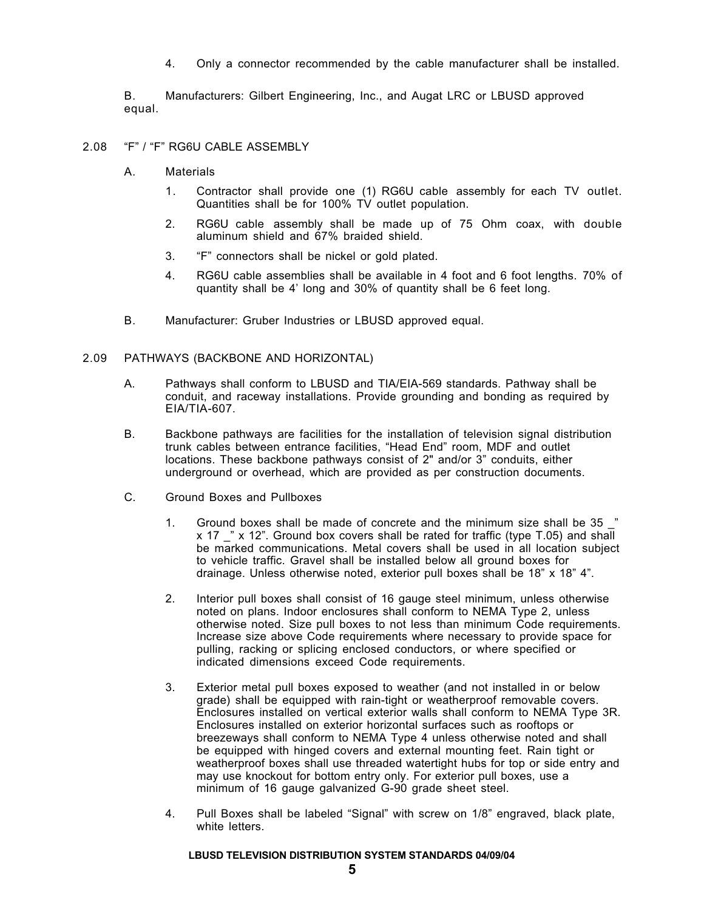4. Only a connector recommended by the cable manufacturer shall be installed.

B. Manufacturers: Gilbert Engineering, Inc., and Augat LRC or LBUSD approved equal.

- 2.08 "F" / "F" RG6U CABLE ASSEMBLY
	- A. Materials
		- 1. Contractor shall provide one (1) RG6U cable assembly for each TV outlet. Quantities shall be for 100% TV outlet population.
		- 2. RG6U cable assembly shall be made up of 75 Ohm coax, with double aluminum shield and 67% braided shield.
		- 3. "F" connectors shall be nickel or gold plated.
		- 4. RG6U cable assemblies shall be available in 4 foot and 6 foot lengths. 70% of quantity shall be 4' long and 30% of quantity shall be 6 feet long.
	- B. Manufacturer: Gruber Industries or LBUSD approved equal.

#### 2.09 PATHWAYS (BACKBONE AND HORIZONTAL)

- A. Pathways shall conform to LBUSD and TIA/EIA-569 standards. Pathway shall be conduit, and raceway installations. Provide grounding and bonding as required by EIA/TIA-607.
- B. Backbone pathways are facilities for the installation of television signal distribution trunk cables between entrance facilities, "Head End" room, MDF and outlet locations. These backbone pathways consist of 2" and/or 3" conduits, either underground or overhead, which are provided as per construction documents.
- C. Ground Boxes and Pullboxes
	- 1. Ground boxes shall be made of concrete and the minimum size shall be 35  $\degree$ x 17 " x 12". Ground box covers shall be rated for traffic (type T.05) and shall be marked communications. Metal covers shall be used in all location subject to vehicle traffic. Gravel shall be installed below all ground boxes for drainage. Unless otherwise noted, exterior pull boxes shall be 18" x 18" 4".
	- 2. Interior pull boxes shall consist of 16 gauge steel minimum, unless otherwise noted on plans. Indoor enclosures shall conform to NEMA Type 2, unless otherwise noted. Size pull boxes to not less than minimum Code requirements. Increase size above Code requirements where necessary to provide space for pulling, racking or splicing enclosed conductors, or where specified or indicated dimensions exceed Code requirements.
	- 3. Exterior metal pull boxes exposed to weather (and not installed in or below grade) shall be equipped with rain-tight or weatherproof removable covers. Enclosures installed on vertical exterior walls shall conform to NEMA Type 3R. Enclosures installed on exterior horizontal surfaces such as rooftops or breezeways shall conform to NEMA Type 4 unless otherwise noted and shall be equipped with hinged covers and external mounting feet. Rain tight or weatherproof boxes shall use threaded watertight hubs for top or side entry and may use knockout for bottom entry only. For exterior pull boxes, use a minimum of 16 gauge galvanized G-90 grade sheet steel.
	- 4. Pull Boxes shall be labeled "Signal" with screw on 1/8" engraved, black plate, white letters.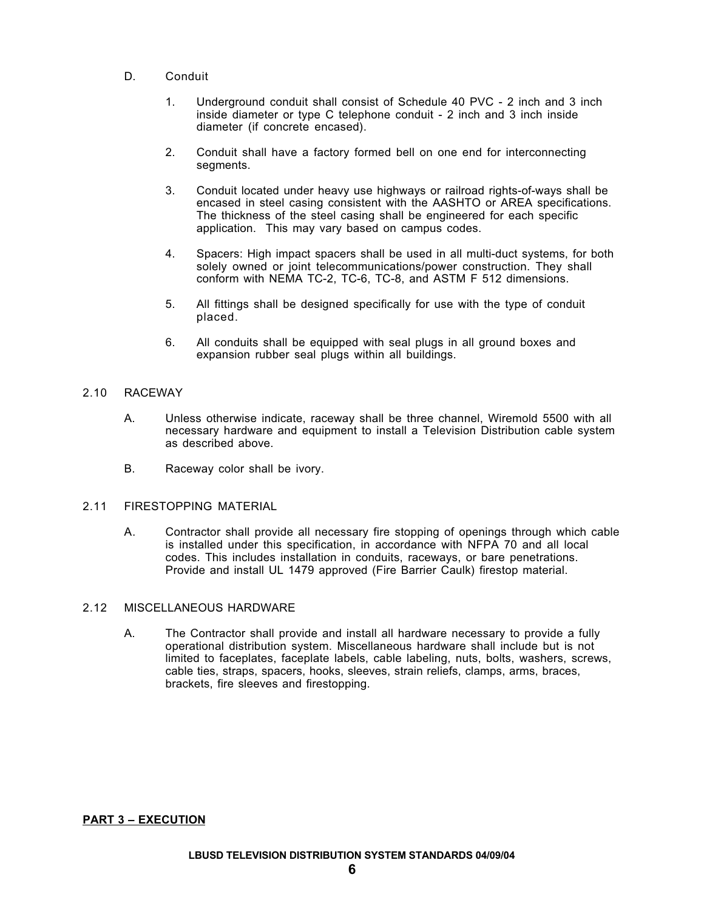- D. Conduit
	- 1. Underground conduit shall consist of Schedule 40 PVC 2 inch and 3 inch inside diameter or type C telephone conduit - 2 inch and 3 inch inside diameter (if concrete encased).
	- 2. Conduit shall have a factory formed bell on one end for interconnecting segments.
	- 3. Conduit located under heavy use highways or railroad rights-of-ways shall be encased in steel casing consistent with the AASHTO or AREA specifications. The thickness of the steel casing shall be engineered for each specific application. This may vary based on campus codes.
	- 4. Spacers: High impact spacers shall be used in all multi-duct systems, for both solely owned or joint telecommunications/power construction. They shall conform with NEMA TC-2, TC-6, TC-8, and ASTM F 512 dimensions.
	- 5. All fittings shall be designed specifically for use with the type of conduit placed.
	- 6. All conduits shall be equipped with seal plugs in all ground boxes and expansion rubber seal plugs within all buildings.

# 2.10 RACEWAY

- A. Unless otherwise indicate, raceway shall be three channel, Wiremold 5500 with all necessary hardware and equipment to install a Television Distribution cable system as described above.
- B. Raceway color shall be ivory.

# 2.11 FIRESTOPPING MATERIAL

A. Contractor shall provide all necessary fire stopping of openings through which cable is installed under this specification, in accordance with NFPA 70 and all local codes. This includes installation in conduits, raceways, or bare penetrations. Provide and install UL 1479 approved (Fire Barrier Caulk) firestop material.

## 2.12 MISCELLANEOUS HARDWARE

A. The Contractor shall provide and install all hardware necessary to provide a fully operational distribution system. Miscellaneous hardware shall include but is not limited to faceplates, faceplate labels, cable labeling, nuts, bolts, washers, screws, cable ties, straps, spacers, hooks, sleeves, strain reliefs, clamps, arms, braces, brackets, fire sleeves and firestopping.

**PART 3 – EXECUTION**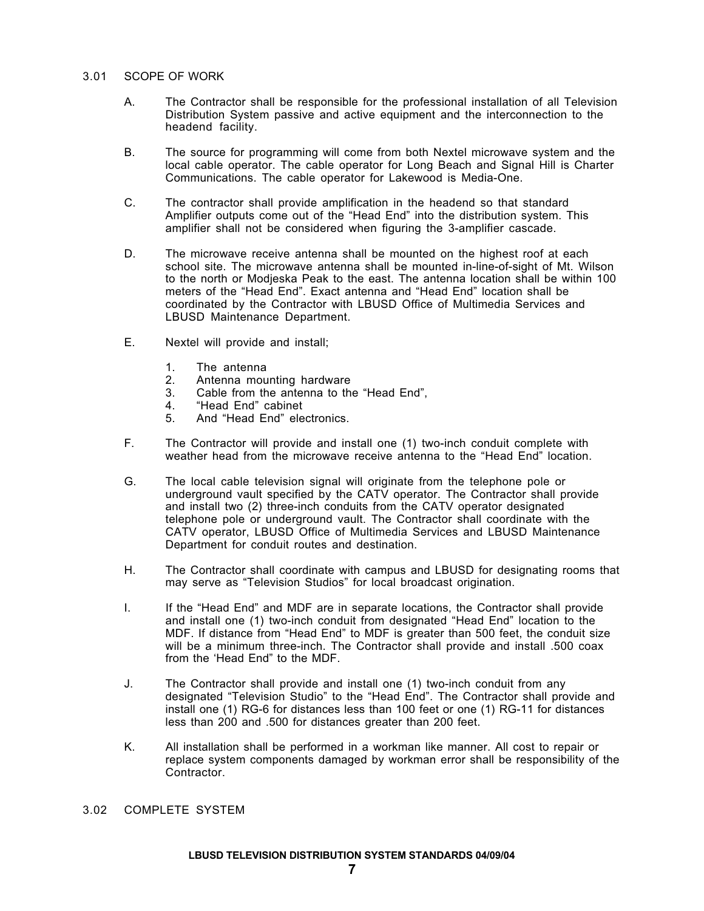#### 3.01 SCOPE OF WORK

- A. The Contractor shall be responsible for the professional installation of all Television Distribution System passive and active equipment and the interconnection to the headend facility.
- B. The source for programming will come from both Nextel microwave system and the local cable operator. The cable operator for Long Beach and Signal Hill is Charter Communications. The cable operator for Lakewood is Media-One.
- C. The contractor shall provide amplification in the headend so that standard Amplifier outputs come out of the "Head End" into the distribution system. This amplifier shall not be considered when figuring the 3-amplifier cascade.
- D. The microwave receive antenna shall be mounted on the highest roof at each school site. The microwave antenna shall be mounted in-line-of-sight of Mt. Wilson to the north or Modjeska Peak to the east. The antenna location shall be within 100 meters of the "Head End". Exact antenna and "Head End" location shall be coordinated by the Contractor with LBUSD Office of Multimedia Services and LBUSD Maintenance Department.
- E. Nextel will provide and install;
	- 1. The antenna<br>2. Antenna mou
	- 2. Antenna mounting hardware<br>3. Cable from the antenna to the
	- 3. Cable from the antenna to the "Head End",<br>4. "Head End" cabinet
	- 4. "Head End" cabinet<br>5. And "Head Fnd" ele
	- And "Head End" electronics.
- F. The Contractor will provide and install one (1) two-inch conduit complete with weather head from the microwave receive antenna to the "Head End" location.
- G. The local cable television signal will originate from the telephone pole or underground vault specified by the CATV operator. The Contractor shall provide and install two (2) three-inch conduits from the CATV operator designated telephone pole or underground vault. The Contractor shall coordinate with the CATV operator, LBUSD Office of Multimedia Services and LBUSD Maintenance Department for conduit routes and destination.
- H. The Contractor shall coordinate with campus and LBUSD for designating rooms that may serve as "Television Studios" for local broadcast origination.
- I. If the "Head End" and MDF are in separate locations, the Contractor shall provide and install one (1) two-inch conduit from designated "Head End" location to the MDF. If distance from "Head End" to MDF is greater than 500 feet, the conduit size will be a minimum three-inch. The Contractor shall provide and install .500 coax from the 'Head End" to the MDF.
- J. The Contractor shall provide and install one (1) two-inch conduit from any designated "Television Studio" to the "Head End". The Contractor shall provide and install one (1) RG-6 for distances less than 100 feet or one (1) RG-11 for distances less than 200 and .500 for distances greater than 200 feet.
- K. All installation shall be performed in a workman like manner. All cost to repair or replace system components damaged by workman error shall be responsibility of the Contractor.
- 3.02 COMPLETE SYSTEM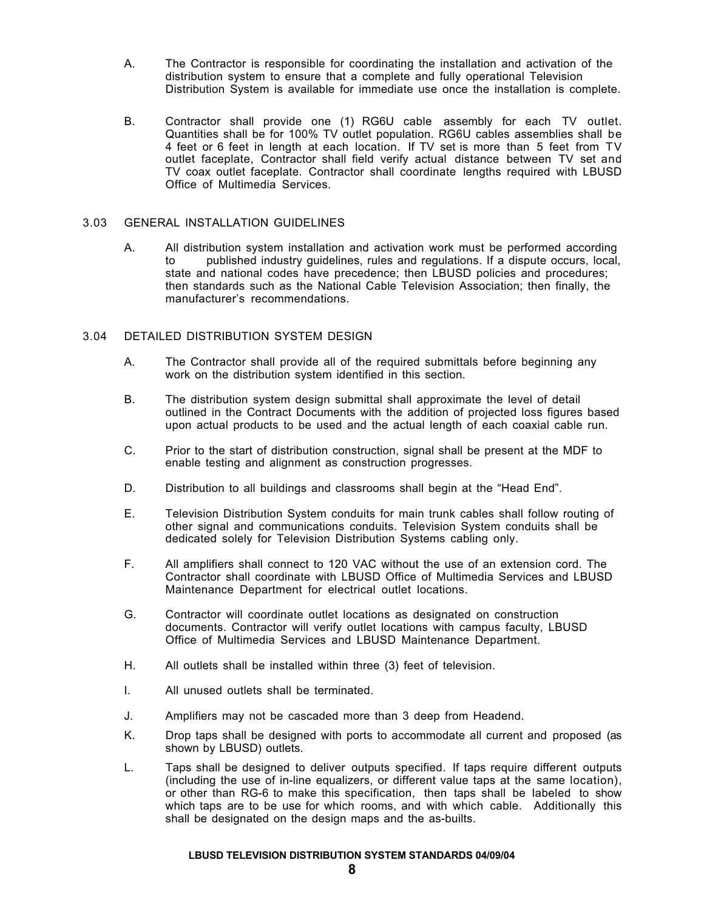- A. The Contractor is responsible for coordinating the installation and activation of the distribution system to ensure that a complete and fully operational Television Distribution System is available for immediate use once the installation is complete.
- B. Contractor shall provide one (1) RG6U cable assembly for each TV outlet. Quantities shall be for 100% TV outlet population. RG6U cables assemblies shall be 4 feet or 6 feet in length at each location. If TV set is more than 5 feet from TV outlet faceplate, Contractor shall field verify actual distance between TV set and TV coax outlet faceplate. Contractor shall coordinate lengths required with LBUSD Office of Multimedia Services.

## 3.03 GENERAL INSTALLATION GUIDELINES

A. All distribution system installation and activation work must be performed according to published industry guidelines, rules and regulations. If a dispute occurs, local, state and national codes have precedence; then LBUSD policies and procedures; then standards such as the National Cable Television Association; then finally, the manufacturer's recommendations.

## 3.04 DETAILED DISTRIBUTION SYSTEM DESIGN

- A. The Contractor shall provide all of the required submittals before beginning any work on the distribution system identified in this section.
- B. The distribution system design submittal shall approximate the level of detail outlined in the Contract Documents with the addition of projected loss figures based upon actual products to be used and the actual length of each coaxial cable run.
- C. Prior to the start of distribution construction, signal shall be present at the MDF to enable testing and alignment as construction progresses.
- D. Distribution to all buildings and classrooms shall begin at the "Head End".
- E. Television Distribution System conduits for main trunk cables shall follow routing of other signal and communications conduits. Television System conduits shall be dedicated solely for Television Distribution Systems cabling only.
- F. All amplifiers shall connect to 120 VAC without the use of an extension cord. The Contractor shall coordinate with LBUSD Office of Multimedia Services and LBUSD Maintenance Department for electrical outlet locations.
- G. Contractor will coordinate outlet locations as designated on construction documents. Contractor will verify outlet locations with campus faculty, LBUSD Office of Multimedia Services and LBUSD Maintenance Department.
- H. All outlets shall be installed within three (3) feet of television.
- I. All unused outlets shall be terminated.
- J. Amplifiers may not be cascaded more than 3 deep from Headend.
- K. Drop taps shall be designed with ports to accommodate all current and proposed (as shown by LBUSD) outlets.
- L. Taps shall be designed to deliver outputs specified. If taps require different outputs (including the use of in-line equalizers, or different value taps at the same location), or other than RG-6 to make this specification, then taps shall be labeled to show which taps are to be use for which rooms, and with which cable. Additionally this shall be designated on the design maps and the as-builts.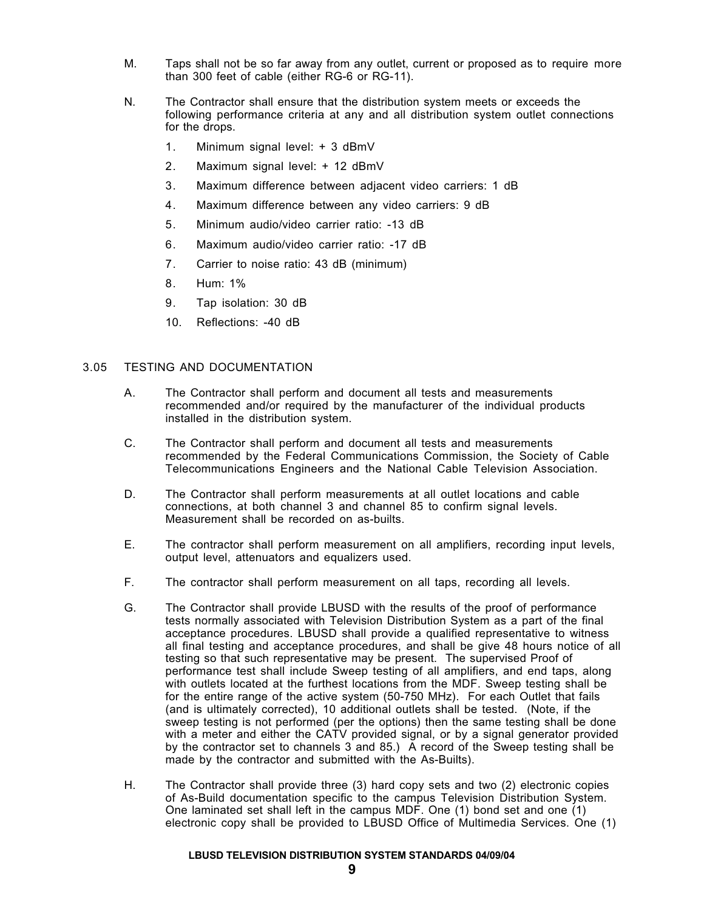- M. Taps shall not be so far away from any outlet, current or proposed as to require more than 300 feet of cable (either RG-6 or RG-11).
- N. The Contractor shall ensure that the distribution system meets or exceeds the following performance criteria at any and all distribution system outlet connections for the drops.
	- 1. Minimum signal level: + 3 dBmV
	- 2. Maximum signal level: + 12 dBmV
	- 3. Maximum difference between adjacent video carriers: 1 dB
	- 4. Maximum difference between any video carriers: 9 dB
	- 5. Minimum audio/video carrier ratio: -13 dB
	- 6. Maximum audio/video carrier ratio: -17 dB
	- 7. Carrier to noise ratio: 43 dB (minimum)
	- 8. Hum: 1%
	- 9. Tap isolation: 30 dB
	- 10. Reflections: -40 dB

## 3.05 TESTING AND DOCUMENTATION

- A. The Contractor shall perform and document all tests and measurements recommended and/or required by the manufacturer of the individual products installed in the distribution system.
- C. The Contractor shall perform and document all tests and measurements recommended by the Federal Communications Commission, the Society of Cable Telecommunications Engineers and the National Cable Television Association.
- D. The Contractor shall perform measurements at all outlet locations and cable connections, at both channel 3 and channel 85 to confirm signal levels. Measurement shall be recorded on as-builts.
- E. The contractor shall perform measurement on all amplifiers, recording input levels, output level, attenuators and equalizers used.
- F. The contractor shall perform measurement on all taps, recording all levels.
- G. The Contractor shall provide LBUSD with the results of the proof of performance tests normally associated with Television Distribution System as a part of the final acceptance procedures. LBUSD shall provide a qualified representative to witness all final testing and acceptance procedures, and shall be give 48 hours notice of all testing so that such representative may be present. The supervised Proof of performance test shall include Sweep testing of all amplifiers, and end taps, along with outlets located at the furthest locations from the MDF. Sweep testing shall be for the entire range of the active system (50-750 MHz). For each Outlet that fails (and is ultimately corrected), 10 additional outlets shall be tested. (Note, if the sweep testing is not performed (per the options) then the same testing shall be done with a meter and either the CATV provided signal, or by a signal generator provided by the contractor set to channels 3 and 85.) A record of the Sweep testing shall be made by the contractor and submitted with the As-Builts).
- H. The Contractor shall provide three (3) hard copy sets and two (2) electronic copies of As-Build documentation specific to the campus Television Distribution System. One laminated set shall left in the campus MDF. One (1) bond set and one (1) electronic copy shall be provided to LBUSD Office of Multimedia Services. One (1)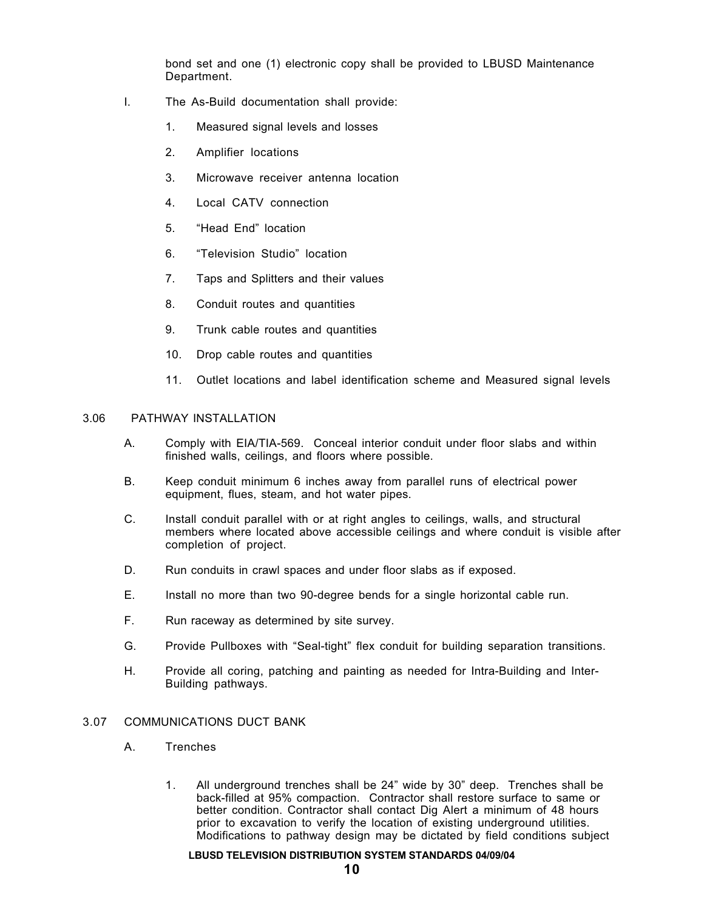bond set and one (1) electronic copy shall be provided to LBUSD Maintenance Department.

- I. The As-Build documentation shall provide:
	- 1. Measured signal levels and losses
	- 2. Amplifier locations
	- 3. Microwave receiver antenna location
	- 4. Local CATV connection
	- 5. "Head End" location
	- 6. "Television Studio" location
	- 7. Taps and Splitters and their values
	- 8. Conduit routes and quantities
	- 9. Trunk cable routes and quantities
	- 10. Drop cable routes and quantities
	- 11. Outlet locations and label identification scheme and Measured signal levels

# 3.06 PATHWAY INSTALLATION

- A. Comply with EIA/TIA-569. Conceal interior conduit under floor slabs and within finished walls, ceilings, and floors where possible.
- B. Keep conduit minimum 6 inches away from parallel runs of electrical power equipment, flues, steam, and hot water pipes.
- C. Install conduit parallel with or at right angles to ceilings, walls, and structural members where located above accessible ceilings and where conduit is visible after completion of project.
- D. Run conduits in crawl spaces and under floor slabs as if exposed.
- E. Install no more than two 90-degree bends for a single horizontal cable run.
- F. Run raceway as determined by site survey.
- G. Provide Pullboxes with "Seal-tight" flex conduit for building separation transitions.
- H. Provide all coring, patching and painting as needed for Intra-Building and Inter-Building pathways.

# 3.07 COMMUNICATIONS DUCT BANK

- A. Trenches
	- 1. All underground trenches shall be 24" wide by 30" deep. Trenches shall be back-filled at 95% compaction. Contractor shall restore surface to same or better condition. Contractor shall contact Dig Alert a minimum of 48 hours prior to excavation to verify the location of existing underground utilities. Modifications to pathway design may be dictated by field conditions subject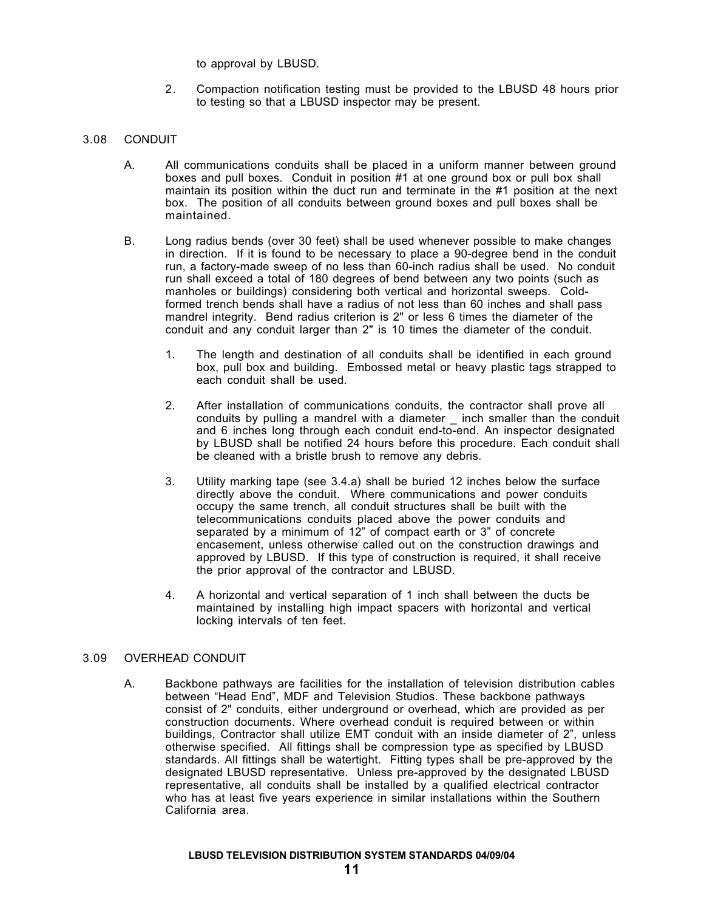to approval by LBUSD.

2. Compaction notification testing must be provided to the LBUSD 48 hours prior to testing so that a LBUSD inspector may be present.

## 3.08 CONDUIT

- A. All communications conduits shall be placed in a uniform manner between ground boxes and pull boxes. Conduit in position #1 at one ground box or pull box shall maintain its position within the duct run and terminate in the #1 position at the next box. The position of all conduits between ground boxes and pull boxes shall be maintained.
- B. Long radius bends (over 30 feet) shall be used whenever possible to make changes in direction. If it is found to be necessary to place a 90-degree bend in the conduit run, a factory-made sweep of no less than 60-inch radius shall be used. No conduit run shall exceed a total of 180 degrees of bend between any two points (such as manholes or buildings) considering both vertical and horizontal sweeps. Coldformed trench bends shall have a radius of not less than 60 inches and shall pass mandrel integrity. Bend radius criterion is 2" or less 6 times the diameter of the conduit and any conduit larger than 2" is 10 times the diameter of the conduit.
	- 1. The length and destination of all conduits shall be identified in each ground box, pull box and building. Embossed metal or heavy plastic tags strapped to each conduit shall be used.
	- 2. After installation of communications conduits, the contractor shall prove all conduits by pulling a mandrel with a diameter \_ inch smaller than the conduit and 6 inches long through each conduit end-to-end. An inspector designated by LBUSD shall be notified 24 hours before this procedure. Each conduit shall be cleaned with a bristle brush to remove any debris.
	- 3. Utility marking tape (see 3.4.a) shall be buried 12 inches below the surface directly above the conduit. Where communications and power conduits occupy the same trench, all conduit structures shall be built with the telecommunications conduits placed above the power conduits and separated by a minimum of 12" of compact earth or 3" of concrete encasement, unless otherwise called out on the construction drawings and approved by LBUSD. If this type of construction is required, it shall receive the prior approval of the contractor and LBUSD.
	- 4. A horizontal and vertical separation of 1 inch shall between the ducts be maintained by installing high impact spacers with horizontal and vertical locking intervals of ten feet.

## 3.09 OVERHEAD CONDUIT

A. Backbone pathways are facilities for the installation of television distribution cables between "Head End", MDF and Television Studios. These backbone pathways consist of 2" conduits, either underground or overhead, which are provided as per construction documents. Where overhead conduit is required between or within buildings, Contractor shall utilize EMT conduit with an inside diameter of 2", unless otherwise specified. All fittings shall be compression type as specified by LBUSD standards. All fittings shall be watertight. Fitting types shall be pre-approved by the designated LBUSD representative. Unless pre-approved by the designated LBUSD representative, all conduits shall be installed by a qualified electrical contractor who has at least five years experience in similar installations within the Southern California area.